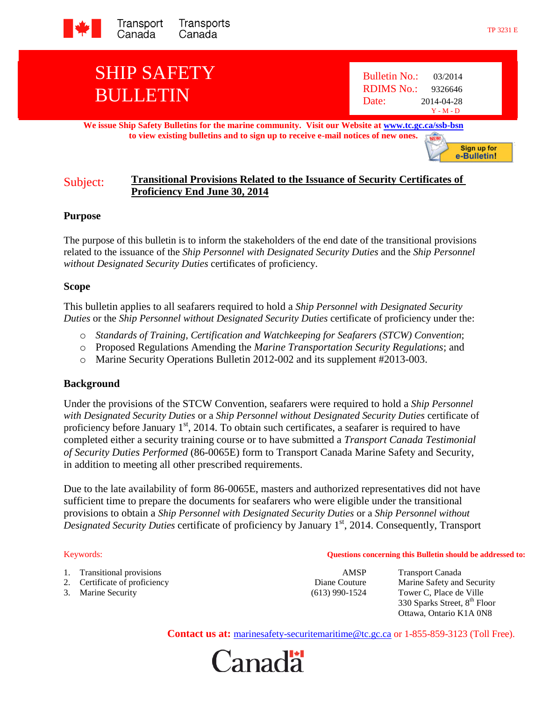

# SHIP SAFETY BULLETIN

**We issue Ship Safety Bulletins for the marine community. Visit our Website at [www.tc.gc.ca/ssb-bsn](http://www.tc.gc.ca/ssb-bsn) to view existing bulletins and to sign up to receive e-mail notices of new ones. NEW!** 

## Subject: **Transitional Provisions Related to the Issuance of Security Certificates of Proficiency End June 30, 2014**

#### **Purpose**

The purpose of this bulletin is to inform the stakeholders of the end date of the transitional provisions related to the issuance of the *Ship Personnel with Designated Security Duties* and the *Ship Personnel without Designated Security Duties* certificates of proficiency.

#### **Scope**

This bulletin applies to all seafarers required to hold a *Ship Personnel with Designated Security Duties* or the *Ship Personnel without Designated Security Duties* certificate of proficiency under the:

- o *Standards of Training, Certification and Watchkeeping for Seafarers (STCW) Convention*;
- o Proposed Regulations Amending the *Marine Transportation Security Regulations*; and
- o Marine Security Operations Bulletin 2012-002 and its supplement #2013-003.

### **Background**

Under the provisions of the STCW Convention, seafarers were required to hold a *Ship Personnel with Designated Security Duties* or a *Ship Personnel without Designated Security Duties* certificate of proficiency before January 1<sup>st</sup>, 2014. To obtain such certificates, a seafarer is required to have completed either a security training course or to have submitted a *Transport Canada Testimonial of Security Duties Performed* (86-0065E) form to Transport Canada Marine Safety and Security, in addition to meeting all other prescribed requirements.

Due to the late availability of form 86-0065E, masters and authorized representatives did not have sufficient time to prepare the documents for seafarers who were eligible under the transitional provisions to obtain a *Ship Personnel with Designated Security Duties* or a *Ship Personnel without Designated Security Duties* certificate of proficiency by January 1<sup>st</sup>, 2014. Consequently, Transport

#### Keywords: **Questions concerning this Bulletin should be addressed to:**

- 1. Transitional provisions and the contract of the contract of the contract of the contract of the contract of the contract of the contract of the contract of the contract of the contract of the contract of the contract of
- 2. Certificate of proficiency **Diane Couture** Marine Safety and Security
- 

3. Marine Security (613) 990-1524 Tower C, Place de Ville 330 Sparks Street, 8<sup>th</sup> Floor Ottawa, Ontario K1A 0N8

**Contact us at:** marinesafety-securitemaritime@tc.gc.ca or 1-855-859-3123 (Toll Free).



Sign up for e-Bulletin!